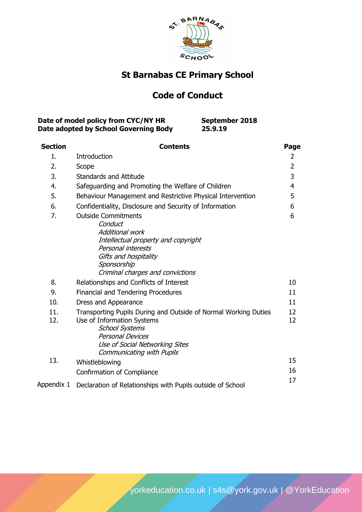

# **St Barnabas CE Primary School**

# **Code of Conduct**

| Date of model policy from CYC/NY HR   | September 2018 |
|---------------------------------------|----------------|
| Date adopted by School Governing Body | 25.9.19        |

| <b>Section</b> | <b>Contents</b>                                                                                                                                                                                                         | Page           |
|----------------|-------------------------------------------------------------------------------------------------------------------------------------------------------------------------------------------------------------------------|----------------|
| 1.             | Introduction                                                                                                                                                                                                            | 2              |
| 2.             | Scope                                                                                                                                                                                                                   | $\overline{2}$ |
| 3.             | <b>Standards and Attitude</b>                                                                                                                                                                                           | 3              |
| 4.             | Safeguarding and Promoting the Welfare of Children                                                                                                                                                                      | $\overline{4}$ |
| 5.             | Behaviour Management and Restrictive Physical Intervention                                                                                                                                                              | 5              |
| 6.             | Confidentiality, Disclosure and Security of Information                                                                                                                                                                 | 6              |
| 7.             | <b>Outside Commitments</b><br>Conduct<br><b>Additional work</b><br>Intellectual property and copyright<br>Personal interests<br>Gifts and hospitality<br>Sponsorship<br>Criminal charges and convictions                | 6              |
| 8.             | Relationships and Conflicts of Interest                                                                                                                                                                                 | 10             |
| 9.             | Financial and Tendering Procedures                                                                                                                                                                                      | 11             |
| 10.            | Dress and Appearance                                                                                                                                                                                                    | 11             |
| 11.<br>12.     | Transporting Pupils During and Outside of Normal Working Duties<br>Use of Information Systems<br><b>School Systems</b><br><b>Personal Devices</b><br>Use of Social Networking Sites<br><b>Communicating with Pupils</b> | 12<br>12       |
| 13.            | Whistleblowing                                                                                                                                                                                                          | 15             |
|                | Confirmation of Compliance                                                                                                                                                                                              | 16             |
| Appendix 1     | Declaration of Relationships with Pupils outside of School                                                                                                                                                              | 17             |

[yorkeducation.co.uk](http://www.yorkeducation.co.uk/) | [s4s@york.gov.uk](mailto:s4s@york.gov.uk) | [@YorkEducation](http://www.twitter.com/yorkeducation)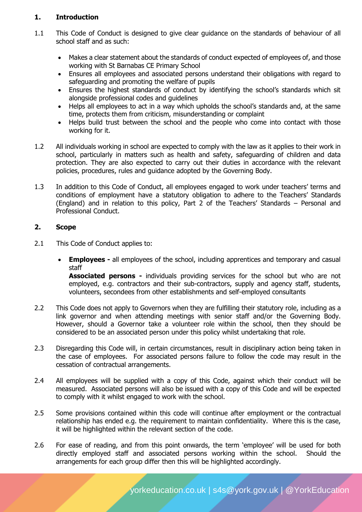# **1. Introduction**

- 1.1 This Code of Conduct is designed to give clear guidance on the standards of behaviour of all school staff and as such:
	- Makes a clear statement about the standards of conduct expected of employees of, and those working with St Barnabas CE Primary School
	- Ensures all employees and associated persons understand their obligations with regard to safeguarding and promoting the welfare of pupils
	- Ensures the highest standards of conduct by identifying the school's standards which sit alongside professional codes and guidelines
	- Helps all employees to act in a way which upholds the school's standards and, at the same time, protects them from criticism, misunderstanding or complaint
	- Helps build trust between the school and the people who come into contact with those working for it.
- 1.2 All individuals working in school are expected to comply with the law as it applies to their work in school, particularly in matters such as health and safety, safeguarding of children and data protection. They are also expected to carry out their duties in accordance with the relevant policies, procedures, rules and guidance adopted by the Governing Body.
- 1.3 In addition to this Code of Conduct, all employees engaged to work under teachers' terms and conditions of employment have a statutory obligation to adhere to the Teachers' Standards (England) and in relation to this policy, Part 2 of the Teachers' Standards – Personal and Professional Conduct.

# **2. Scope**

- 2.1 This Code of Conduct applies to:
	- **Employees -** all employees of the school, including apprentices and temporary and casual staff

**Associated persons -** individuals providing services for the school but who are not employed, e.g. contractors and their sub-contractors, supply and agency staff, students, volunteers, secondees from other establishments and self-employed consultants

- 2.2 This Code does not apply to Governors when they are fulfilling their statutory role, including as a link governor and when attending meetings with senior staff and/or the Governing Body. However, should a Governor take a volunteer role within the school, then they should be considered to be an associated person under this policy whilst undertaking that role.
- 2.3 Disregarding this Code will, in certain circumstances, result in disciplinary action being taken in the case of employees. For associated persons failure to follow the code may result in the cessation of contractual arrangements.
- 2.4 All employees will be supplied with a copy of this Code, against which their conduct will be measured. Associated persons will also be issued with a copy of this Code and will be expected to comply with it whilst engaged to work with the school.
- 2.5 Some provisions contained within this code will continue after employment or the contractual relationship has ended e.g. the requirement to maintain confidentiality. Where this is the case, it will be highlighted within the relevant section of the code.
- 2.6 For ease of reading, and from this point onwards, the term 'employee' will be used for both directly employed staff and associated persons working within the school. Should the arrangements for each group differ then this will be highlighted accordingly.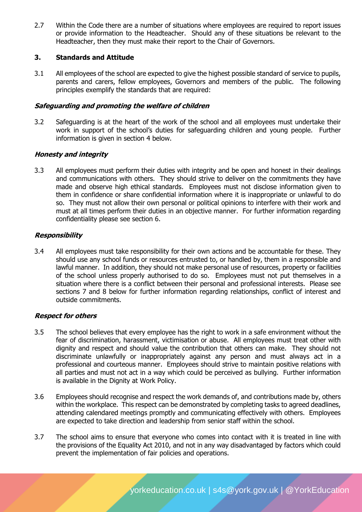2.7 Within the Code there are a number of situations where employees are required to report issues or provide information to the Headteacher. Should any of these situations be relevant to the Headteacher, then they must make their report to the Chair of Governors.

## **3. Standards and Attitude**

3.1 All employees of the school are expected to give the highest possible standard of service to pupils, parents and carers, fellow employees, Governors and members of the public. The following principles exemplify the standards that are required:

## **Safeguarding and promoting the welfare of children**

3.2 Safeguarding is at the heart of the work of the school and all employees must undertake their work in support of the school's duties for safeguarding children and young people. Further information is given in section 4 below.

## **Honesty and integrity**

3.3 All employees must perform their duties with integrity and be open and honest in their dealings and communications with others. They should strive to deliver on the commitments they have made and observe high ethical standards. Employees must not disclose information given to them in confidence or share confidential information where it is inappropriate or unlawful to do so. They must not allow their own personal or political opinions to interfere with their work and must at all times perform their duties in an objective manner. For further information regarding confidentiality please see section 6.

## **Responsibility**

3.4 All employees must take responsibility for their own actions and be accountable for these. They should use any school funds or resources entrusted to, or handled by, them in a responsible and lawful manner. In addition, they should not make personal use of resources, property or facilities of the school unless properly authorised to do so. Employees must not put themselves in a situation where there is a conflict between their personal and professional interests. Please see sections 7 and 8 below for further information regarding relationships, conflict of interest and outside commitments.

#### **Respect for others**

- 3.5 The school believes that every employee has the right to work in a safe environment without the fear of discrimination, harassment, victimisation or abuse. All employees must treat other with dignity and respect and should value the contribution that others can make. They should not discriminate unlawfully or inappropriately against any person and must always act in a professional and courteous manner. Employees should strive to maintain positive relations with all parties and must not act in a way which could be perceived as bullying. Further information is available in the Dignity at Work Policy.
- 3.6 Employees should recognise and respect the work demands of, and contributions made by, others within the workplace. This respect can be demonstrated by completing tasks to agreed deadlines, attending calendared meetings promptly and communicating effectively with others. Employees are expected to take direction and leadership from senior staff within the school.
- 3.7 The school aims to ensure that everyone who comes into contact with it is treated in line with the provisions of the Equality Act 2010, and not in any way disadvantaged by factors which could prevent the implementation of fair policies and operations.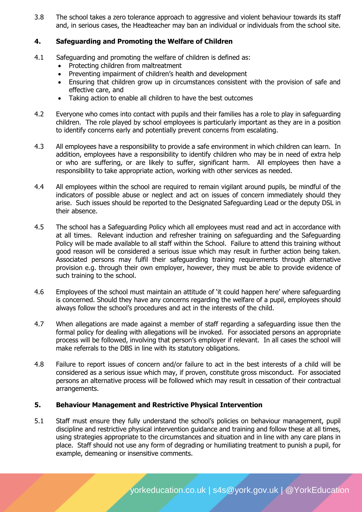3.8 The school takes a zero tolerance approach to aggressive and violent behaviour towards its staff and, in serious cases, the Headteacher may ban an individual or individuals from the school site.

# **4. Safeguarding and Promoting the Welfare of Children**

- 4.1 Safeguarding and promoting the welfare of children is defined as:
	- Protecting children from maltreatment
	- Preventing impairment of children's health and development
	- Ensuring that children grow up in circumstances consistent with the provision of safe and effective care, and
	- Taking action to enable all children to have the best outcomes
- 4.2 Everyone who comes into contact with pupils and their families has a role to play in safeguarding children. The role played by school employees is particularly important as they are in a position to identify concerns early and potentially prevent concerns from escalating.
- 4.3 All employees have a responsibility to provide a safe environment in which children can learn. In addition, employees have a responsibility to identify children who may be in need of extra help or who are suffering, or are likely to suffer, significant harm. All employees then have a responsibility to take appropriate action, working with other services as needed.
- 4.4 All employees within the school are required to remain vigilant around pupils, be mindful of the indicators of possible abuse or neglect and act on issues of concern immediately should they arise. Such issues should be reported to the Designated Safeguarding Lead or the deputy DSL in their absence.
- 4.5 The school has a Safeguarding Policy which all employees must read and act in accordance with at all times. Relevant induction and refresher training on safeguarding and the Safeguarding Policy will be made available to all staff within the School. Failure to attend this training without good reason will be considered a serious issue which may result in further action being taken. Associated persons may fulfil their safeguarding training requirements through alternative provision e.g. through their own employer, however, they must be able to provide evidence of such training to the school.
- 4.6 Employees of the school must maintain an attitude of 'it could happen here' where safeguarding is concerned. Should they have any concerns regarding the welfare of a pupil, employees should always follow the school's procedures and act in the interests of the child.
- 4.7 When allegations are made against a member of staff regarding a safeguarding issue then the formal policy for dealing with allegations will be invoked. For associated persons an appropriate process will be followed, involving that person's employer if relevant. In all cases the school will make referrals to the DBS in line with its statutory obligations.
- 4.8 Failure to report issues of concern and/or failure to act in the best interests of a child will be considered as a serious issue which may, if proven, constitute gross misconduct. For associated persons an alternative process will be followed which may result in cessation of their contractual arrangements.

# **5. Behaviour Management and Restrictive Physical Intervention**

5.1 Staff must ensure they fully understand the school's policies on behaviour management, pupil discipline and restrictive physical intervention guidance and training and follow these at all times, using strategies appropriate to the circumstances and situation and in line with any care plans in place. Staff should not use any form of degrading or humiliating treatment to punish a pupil, for example, demeaning or insensitive comments.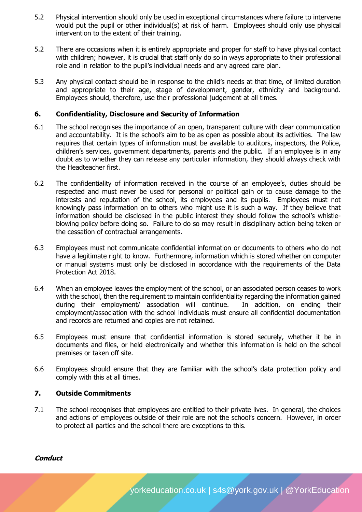- 5.2 Physical intervention should only be used in exceptional circumstances where failure to intervene would put the pupil or other individual(s) at risk of harm. Employees should only use physical intervention to the extent of their training.
- 5.2 There are occasions when it is entirely appropriate and proper for staff to have physical contact with children; however, it is crucial that staff only do so in ways appropriate to their professional role and in relation to the pupil's individual needs and any agreed care plan.
- 5.3 Any physical contact should be in response to the child's needs at that time, of limited duration and appropriate to their age, stage of development, gender, ethnicity and background. Employees should, therefore, use their professional judgement at all times.

## **6. Confidentiality, Disclosure and Security of Information**

- 6.1 The school recognises the importance of an open, transparent culture with clear communication and accountability. It is the school's aim to be as open as possible about its activities. The law requires that certain types of information must be available to auditors, inspectors, the Police, children's services, government departments, parents and the public. If an employee is in any doubt as to whether they can release any particular information, they should always check with the Headteacher first.
- 6.2 The confidentiality of information received in the course of an employee's, duties should be respected and must never be used for personal or political gain or to cause damage to the interests and reputation of the school, its employees and its pupils. Employees must not knowingly pass information on to others who might use it is such a way. If they believe that information should be disclosed in the public interest they should follow the school's whistleblowing policy before doing so. Failure to do so may result in disciplinary action being taken or the cessation of contractual arrangements.
- 6.3 Employees must not communicate confidential information or documents to others who do not have a legitimate right to know. Furthermore, information which is stored whether on computer or manual systems must only be disclosed in accordance with the requirements of the Data Protection Act 2018.
- 6.4 When an employee leaves the employment of the school, or an associated person ceases to work with the school, then the requirement to maintain confidentiality regarding the information gained during their employment/ association will continue. In addition, on ending their employment/association with the school individuals must ensure all confidential documentation and records are returned and copies are not retained.
- 6.5 Employees must ensure that confidential information is stored securely, whether it be in documents and files, or held electronically and whether this information is held on the school premises or taken off site.
- 6.6 Employees should ensure that they are familiar with the school's data protection policy and comply with this at all times.

# **7. Outside Commitments**

7.1 The school recognises that employees are entitled to their private lives. In general, the choices and actions of employees outside of their role are not the school's concern. However, in order to protect all parties and the school there are exceptions to this.

# **Conduct**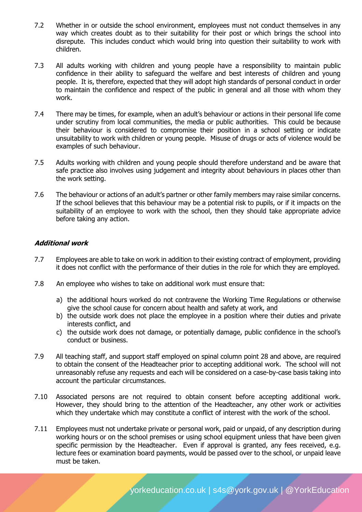- 7.2 Whether in or outside the school environment, employees must not conduct themselves in any way which creates doubt as to their suitability for their post or which brings the school into disrepute. This includes conduct which would bring into question their suitability to work with children.
- 7.3 All adults working with children and young people have a responsibility to maintain public confidence in their ability to safeguard the welfare and best interests of children and young people. It is, therefore, expected that they will adopt high standards of personal conduct in order to maintain the confidence and respect of the public in general and all those with whom they work.
- 7.4 There may be times, for example, when an adult's behaviour or actions in their personal life come under scrutiny from local communities, the media or public authorities. This could be because their behaviour is considered to compromise their position in a school setting or indicate unsuitability to work with children or young people. Misuse of drugs or acts of violence would be examples of such behaviour.
- 7.5 Adults working with children and young people should therefore understand and be aware that safe practice also involves using judgement and integrity about behaviours in places other than the work setting.
- 7.6 The behaviour or actions of an adult's partner or other family members may raise similar concerns. If the school believes that this behaviour may be a potential risk to pupils, or if it impacts on the suitability of an employee to work with the school, then they should take appropriate advice before taking any action.

## **Additional work**

- 7.7 Employees are able to take on work in addition to their existing contract of employment, providing it does not conflict with the performance of their duties in the role for which they are employed.
- 7.8 An employee who wishes to take on additional work must ensure that:
	- a) the additional hours worked do not contravene the Working Time Regulations or otherwise give the school cause for concern about health and safety at work, and
	- b) the outside work does not place the employee in a position where their duties and private interests conflict, and
	- c) the outside work does not damage, or potentially damage, public confidence in the school's conduct or business.
- 7.9 All teaching staff, and support staff employed on spinal column point 28 and above, are required to obtain the consent of the Headteacher prior to accepting additional work. The school will not unreasonably refuse any requests and each will be considered on a case-by-case basis taking into account the particular circumstances.
- 7.10 Associated persons are not required to obtain consent before accepting additional work. However, they should bring to the attention of the Headteacher, any other work or activities which they undertake which may constitute a conflict of interest with the work of the school.
- 7.11 Employees must not undertake private or personal work, paid or unpaid, of any description during working hours or on the school premises or using school equipment unless that have been given specific permission by the Headteacher. Even if approval is granted, any fees received, e.g. lecture fees or examination board payments, would be passed over to the school, or unpaid leave must be taken.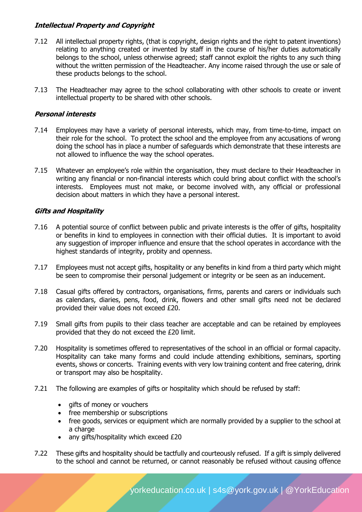# **Intellectual Property and Copyright**

- 7.12 All intellectual property rights, (that is copyright, design rights and the right to patent inventions) relating to anything created or invented by staff in the course of his/her duties automatically belongs to the school, unless otherwise agreed; staff cannot exploit the rights to any such thing without the written permission of the Headteacher. Any income raised through the use or sale of these products belongs to the school.
- 7.13 The Headteacher may agree to the school collaborating with other schools to create or invent intellectual property to be shared with other schools.

# **Personal interests**

- 7.14 Employees may have a variety of personal interests, which may, from time-to-time, impact on their role for the school. To protect the school and the employee from any accusations of wrong doing the school has in place a number of safeguards which demonstrate that these interests are not allowed to influence the way the school operates.
- 7.15 Whatever an employee's role within the organisation, they must declare to their Headteacher in writing any financial or non-financial interests which could bring about conflict with the school's interests. Employees must not make, or become involved with, any official or professional decision about matters in which they have a personal interest.

# **Gifts and Hospitality**

- 7.16 A potential source of conflict between public and private interests is the offer of gifts, hospitality or benefits in kind to employees in connection with their official duties. It is important to avoid any suggestion of improper influence and ensure that the school operates in accordance with the highest standards of integrity, probity and openness.
- 7.17 Employees must not accept gifts, hospitality or any benefits in kind from a third party which might be seen to compromise their personal judgement or integrity or be seen as an inducement.
- 7.18 Casual gifts offered by contractors, organisations, firms, parents and carers or individuals such as calendars, diaries, pens, food, drink, flowers and other small gifts need not be declared provided their value does not exceed £20.
- 7.19 Small gifts from pupils to their class teacher are acceptable and can be retained by employees provided that they do not exceed the £20 limit.
- 7.20 Hospitality is sometimes offered to representatives of the school in an official or formal capacity. Hospitality can take many forms and could include attending exhibitions, seminars, sporting events, shows or concerts. Training events with very low training content and free catering, drink or transport may also be hospitality.
- 7.21 The following are examples of gifts or hospitality which should be refused by staff:
	- gifts of money or vouchers
	- free membership or subscriptions
	- free goods, services or equipment which are normally provided by a supplier to the school at a charge
	- any gifts/hospitality which exceed £20
- 7.22 These gifts and hospitality should be tactfully and courteously refused. If a gift is simply delivered to the school and cannot be returned, or cannot reasonably be refused without causing offence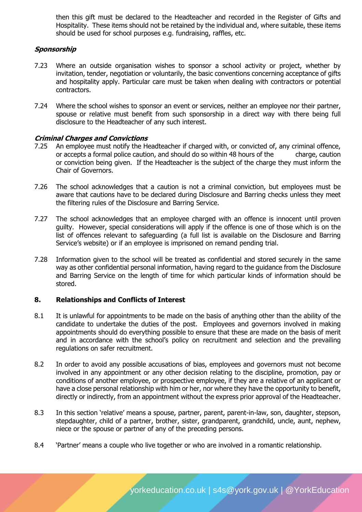then this gift must be declared to the Headteacher and recorded in the Register of Gifts and Hospitality. These items should not be retained by the individual and, where suitable, these items should be used for school purposes e.g. fundraising, raffles, etc.

## **Sponsorship**

- 7.23 Where an outside organisation wishes to sponsor a school activity or project, whether by invitation, tender, negotiation or voluntarily, the basic conventions concerning acceptance of gifts and hospitality apply. Particular care must be taken when dealing with contractors or potential contractors.
- 7.24 Where the school wishes to sponsor an event or services, neither an employee nor their partner, spouse or relative must benefit from such sponsorship in a direct way with there being full disclosure to the Headteacher of any such interest.

#### **Criminal Charges and Convictions**

- 7.25 An employee must notify the Headteacher if charged with, or convicted of, any criminal offence, or accepts a formal police caution, and should do so within 48 hours of the charge, caution or conviction being given. If the Headteacher is the subject of the charge they must inform the Chair of Governors.
- 7.26 The school acknowledges that a caution is not a criminal conviction, but employees must be aware that cautions have to be declared during Disclosure and Barring checks unless they meet the filtering rules of the Disclosure and Barring Service.
- 7.27 The school acknowledges that an employee charged with an offence is innocent until proven guilty. However, special considerations will apply if the offence is one of those which is on the list of offences relevant to safeguarding (a full list is available on the Disclosure and Barring Service's website) or if an employee is imprisoned on remand pending trial.
- 7.28 Information given to the school will be treated as confidential and stored securely in the same way as other confidential personal information, having regard to the guidance from the Disclosure and Barring Service on the length of time for which particular kinds of information should be stored.

#### **8. Relationships and Conflicts of Interest**

- 8.1 It is unlawful for appointments to be made on the basis of anything other than the ability of the candidate to undertake the duties of the post. Employees and governors involved in making appointments should do everything possible to ensure that these are made on the basis of merit and in accordance with the school's policy on recruitment and selection and the prevailing regulations on safer recruitment.
- 8.2 In order to avoid any possible accusations of bias, employees and governors must not become involved in any appointment or any other decision relating to the discipline, promotion, pay or conditions of another employee, or prospective employee, if they are a relative of an applicant or have a close personal relationship with him or her, nor where they have the opportunity to benefit, directly or indirectly, from an appointment without the express prior approval of the Headteacher.
- 8.3 In this section 'relative' means a spouse, partner, parent, parent-in-law, son, daughter, stepson, stepdaughter, child of a partner, brother, sister, grandparent, grandchild, uncle, aunt, nephew, niece or the spouse or partner of any of the preceding persons.
- 8.4 'Partner' means a couple who live together or who are involved in a romantic relationship.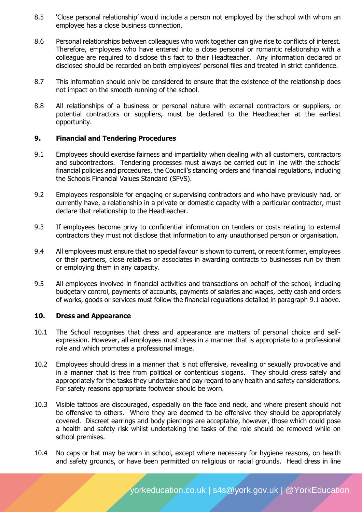- 8.5 'Close personal relationship' would include a person not employed by the school with whom an employee has a close business connection.
- 8.6 Personal relationships between colleagues who work together can give rise to conflicts of interest. Therefore, employees who have entered into a close personal or romantic relationship with a colleague are required to disclose this fact to their Headteacher. Any information declared or disclosed should be recorded on both employees' personal files and treated in strict confidence.
- 8.7 This information should only be considered to ensure that the existence of the relationship does not impact on the smooth running of the school.
- 8.8 All relationships of a business or personal nature with external contractors or suppliers, or potential contractors or suppliers, must be declared to the Headteacher at the earliest opportunity.

## **9. Financial and Tendering Procedures**

- 9.1 Employees should exercise fairness and impartiality when dealing with all customers, contractors and subcontractors. Tendering processes must always be carried out in line with the schools' financial policies and procedures, the Council's standing orders and financial regulations, including the Schools Financial Values Standard (SFVS).
- 9.2 Employees responsible for engaging or supervising contractors and who have previously had, or currently have, a relationship in a private or domestic capacity with a particular contractor, must declare that relationship to the Headteacher.
- 9.3 If employees become privy to confidential information on tenders or costs relating to external contractors they must not disclose that information to any unauthorised person or organisation.
- 9.4 All employees must ensure that no special favour is shown to current, or recent former, employees or their partners, close relatives or associates in awarding contracts to businesses run by them or employing them in any capacity.
- 9.5 All employees involved in financial activities and transactions on behalf of the school, including budgetary control, payments of accounts, payments of salaries and wages, petty cash and orders of works, goods or services must follow the financial regulations detailed in paragraph 9.1 above.

#### **10. Dress and Appearance**

- 10.1 The School recognises that dress and appearance are matters of personal choice and selfexpression. However, all employees must dress in a manner that is appropriate to a professional role and which promotes a professional image.
- 10.2 Employees should dress in a manner that is not offensive, revealing or sexually provocative and in a manner that is free from political or contentious slogans. They should dress safely and appropriately for the tasks they undertake and pay regard to any health and safety considerations. For safety reasons appropriate footwear should be worn.
- 10.3 Visible tattoos are discouraged, especially on the face and neck, and where present should not be offensive to others. Where they are deemed to be offensive they should be appropriately covered. Discreet earrings and body piercings are acceptable, however, those which could pose a health and safety risk whilst undertaking the tasks of the role should be removed while on school premises.
- 10.4 No caps or hat may be worn in school, except where necessary for hygiene reasons, on health and safety grounds, or have been permitted on religious or racial grounds. Head dress in line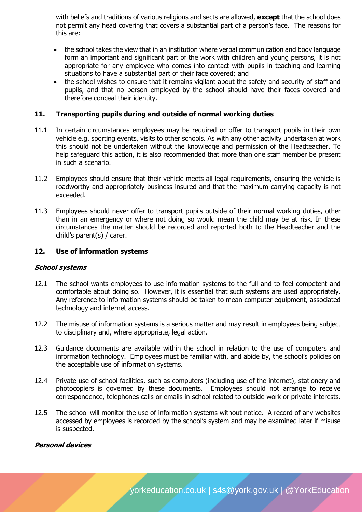with beliefs and traditions of various religions and sects are allowed, **except** that the school does not permit any head covering that covers a substantial part of a person's face. The reasons for this are:

- the school takes the view that in an institution where verbal communication and body language form an important and significant part of the work with children and young persons, it is not appropriate for any employee who comes into contact with pupils in teaching and learning situations to have a substantial part of their face covered; and
- the school wishes to ensure that it remains vigilant about the safety and security of staff and pupils, and that no person employed by the school should have their faces covered and therefore conceal their identity.

## **11. Transporting pupils during and outside of normal working duties**

- 11.1 In certain circumstances employees may be required or offer to transport pupils in their own vehicle e.g. sporting events, visits to other schools. As with any other activity undertaken at work this should not be undertaken without the knowledge and permission of the Headteacher. To help safeguard this action, it is also recommended that more than one staff member be present in such a scenario.
- 11.2 Employees should ensure that their vehicle meets all legal requirements, ensuring the vehicle is roadworthy and appropriately business insured and that the maximum carrying capacity is not exceeded.
- 11.3 Employees should never offer to transport pupils outside of their normal working duties, other than in an emergency or where not doing so would mean the child may be at risk. In these circumstances the matter should be recorded and reported both to the Headteacher and the child's parent(s) / carer.

#### **12. Use of information systems**

#### **School systems**

- 12.1 The school wants employees to use information systems to the full and to feel competent and comfortable about doing so. However, it is essential that such systems are used appropriately. Any reference to information systems should be taken to mean computer equipment, associated technology and internet access.
- 12.2 The misuse of information systems is a serious matter and may result in employees being subject to disciplinary and, where appropriate, legal action.
- 12.3 Guidance documents are available within the school in relation to the use of computers and information technology. Employees must be familiar with, and abide by, the school's policies on the acceptable use of information systems.
- 12.4 Private use of school facilities, such as computers (including use of the internet), stationery and photocopiers is governed by these documents. Employees should not arrange to receive correspondence, telephones calls or emails in school related to outside work or private interests.
- 12.5 The school will monitor the use of information systems without notice. A record of any websites accessed by employees is recorded by the school's system and may be examined later if misuse is suspected.

#### **Personal devices**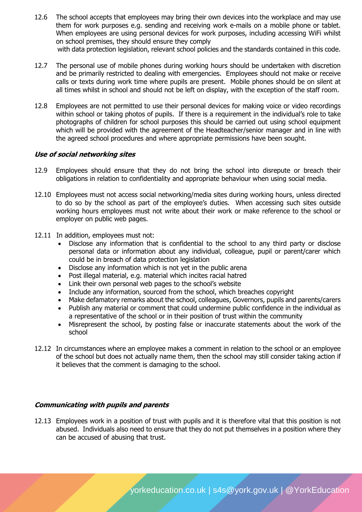- 12.6 The school accepts that employees may bring their own devices into the workplace and may use them for work purposes e.g. sending and receiving work e-mails on a mobile phone or tablet. When employees are using personal devices for work purposes, including accessing WiFi whilst on school premises, they should ensure they comply with data protection legislation, relevant school policies and the standards contained in this code.
	-
- 12.7 The personal use of mobile phones during working hours should be undertaken with discretion and be primarily restricted to dealing with emergencies. Employees should not make or receive calls or texts during work time where pupils are present. Mobile phones should be on silent at all times whilst in school and should not be left on display, with the exception of the staff room.
- 12.8 Employees are not permitted to use their personal devices for making voice or video recordings within school or taking photos of pupils. If there is a requirement in the individual's role to take photographs of children for school purposes this should be carried out using school equipment which will be provided with the agreement of the Headteacher/senior manager and in line with the agreed school procedures and where appropriate permissions have been sought.

## **Use of social networking sites**

- 12.9 Employees should ensure that they do not bring the school into disrepute or breach their obligations in relation to confidentiality and appropriate behaviour when using social media.
- 12.10 Employees must not access social networking/media sites during working hours, unless directed to do so by the school as part of the employee's duties. When accessing such sites outside working hours employees must not write about their work or make reference to the school or employer on public web pages.
- 12.11 In addition, employees must not:
	- Disclose any information that is confidential to the school to any third party or disclose personal data or information about any individual, colleague, pupil or parent/carer which could be in breach of data protection legislation
	- Disclose any information which is not yet in the public arena
	- Post illegal material, e.g. material which incites racial hatred
	- Link their own personal web pages to the school's website
	- Include any information, sourced from the school, which breaches copyright
	- Make defamatory remarks about the school, colleagues, Governors, pupils and parents/carers
	- Publish any material or comment that could undermine public confidence in the individual as a representative of the school or in their position of trust within the community
	- Misrepresent the school, by posting false or inaccurate statements about the work of the school
- 12.12 In circumstances where an employee makes a comment in relation to the school or an employee of the school but does not actually name them, then the school may still consider taking action if it believes that the comment is damaging to the school.

#### **Communicating with pupils and parents**

12.13 Employees work in a position of trust with pupils and it is therefore vital that this position is not abused. Individuals also need to ensure that they do not put themselves in a position where they can be accused of abusing that trust.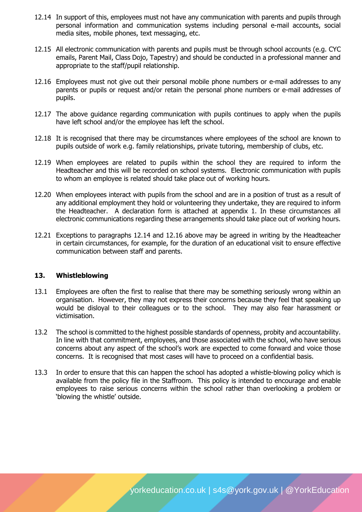- 12.14 In support of this, employees must not have any communication with parents and pupils through personal information and communication systems including personal e-mail accounts, social media sites, mobile phones, text messaging, etc.
- 12.15 All electronic communication with parents and pupils must be through school accounts (e.g. CYC emails, Parent Mail, Class Dojo, Tapestry) and should be conducted in a professional manner and appropriate to the staff/pupil relationship.
- 12.16 Employees must not give out their personal mobile phone numbers or e-mail addresses to any parents or pupils or request and/or retain the personal phone numbers or e-mail addresses of pupils.
- 12.17 The above guidance regarding communication with pupils continues to apply when the pupils have left school and/or the employee has left the school.
- 12.18 It is recognised that there may be circumstances where employees of the school are known to pupils outside of work e.g. family relationships, private tutoring, membership of clubs, etc.
- 12.19 When employees are related to pupils within the school they are required to inform the Headteacher and this will be recorded on school systems. Electronic communication with pupils to whom an employee is related should take place out of working hours.
- 12.20 When employees interact with pupils from the school and are in a position of trust as a result of any additional employment they hold or volunteering they undertake, they are required to inform the Headteacher. A declaration form is attached at appendix 1. In these circumstances all electronic communications regarding these arrangements should take place out of working hours.
- 12.21 Exceptions to paragraphs 12.14 and 12.16 above may be agreed in writing by the Headteacher in certain circumstances, for example, for the duration of an educational visit to ensure effective communication between staff and parents.

#### **13. Whistleblowing**

- 13.1 Employees are often the first to realise that there may be something seriously wrong within an organisation. However, they may not express their concerns because they feel that speaking up would be disloyal to their colleagues or to the school. They may also fear harassment or victimisation.
- 13.2 The school is committed to the highest possible standards of openness, probity and accountability. In line with that commitment, employees, and those associated with the school, who have serious concerns about any aspect of the school's work are expected to come forward and voice those concerns. It is recognised that most cases will have to proceed on a confidential basis.
- 13.3 In order to ensure that this can happen the school has adopted a whistle-blowing policy which is available from the policy file in the Staffroom. This policy is intended to encourage and enable employees to raise serious concerns within the school rather than overlooking a problem or 'blowing the whistle' outside.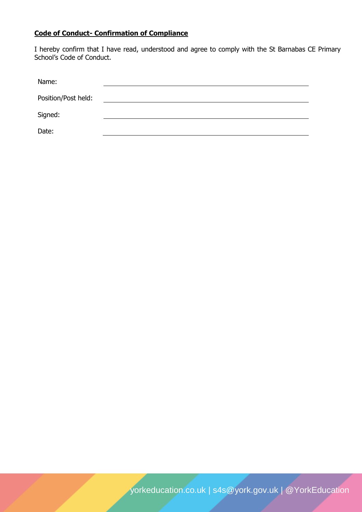# **Code of Conduct- Confirmation of Compliance**

I hereby confirm that I have read, understood and agree to comply with the St Barnabas CE Primary School's Code of Conduct.

| Name:               |  |  |
|---------------------|--|--|
| Position/Post held: |  |  |
| Signed:             |  |  |
| Date:               |  |  |

[yorkeducation.co.uk](http://www.yorkeducation.co.uk/) | [s4s@york.gov.uk](mailto:s4s@york.gov.uk) | [@YorkEducation](http://www.twitter.com/yorkeducation)